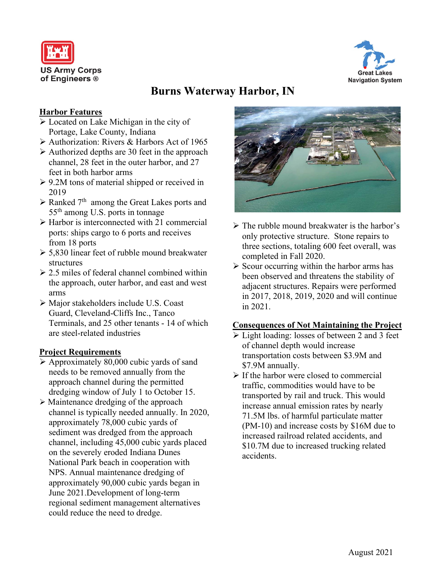



# **Burns Waterway Harbor, IN**

## **Harbor Features**

- Located on Lake Michigan in the city of Portage, Lake County, Indiana
- $\triangleright$  Authorization: Rivers & Harbors Act of 1965
- $\triangleright$  Authorized depths are 30 feet in the approach channel, 28 feet in the outer harbor, and 27 feet in both harbor arms
- $\geq 9.2M$  tons of material shipped or received in 2019
- $\triangleright$  Ranked 7<sup>th</sup> among the Great Lakes ports and 55th among U.S. ports in tonnage
- $\triangleright$  Harbor is interconnected with 21 commercial ports: ships cargo to 6 ports and receives from 18 ports
- $\geq 5,830$  linear feet of rubble mound breakwater structures
- $\geq$  2.5 miles of federal channel combined within the approach, outer harbor, and east and west arms
- Major stakeholders include U.S. Coast Guard, Cleveland-Cliffs Inc., Tanco Terminals, and 25 other tenants - 14 of which are steel-related industries

## **Project Requirements**

- $\triangleright$  Approximately 80,000 cubic yards of sand needs to be removed annually from the approach channel during the permitted dredging window of July 1 to October 15.
- Maintenance dredging of the approach channel is typically needed annually. In 2020, approximately 78,000 cubic yards of sediment was dredged from the approach channel, including 45,000 cubic yards placed on the severely eroded Indiana Dunes National Park beach in cooperation with NPS. Annual maintenance dredging of approximately 90,000 cubic yards began in June 2021.Development of long-term regional sediment management alternatives could reduce the need to dredge.



- $\triangleright$  The rubble mound breakwater is the harbor's only protective structure. Stone repairs to three sections, totaling 600 feet overall, was completed in Fall 2020.
- $\triangleright$  Scour occurring within the harbor arms has been observed and threatens the stability of adjacent structures. Repairs were performed in 2017, 2018, 2019, 2020 and will continue in 2021.

### **Consequences of Not Maintaining the Project**

- Light loading: losses of between 2 and 3 feet of channel depth would increase transportation costs between \$3.9M and \$7.9M annually.
- $\triangleright$  If the harbor were closed to commercial traffic, commodities would have to be transported by rail and truck. This would increase annual emission rates by nearly 71.5M lbs. of harmful particulate matter (PM-10) and increase costs by \$16M due to increased railroad related accidents, and \$10.7M due to increased trucking related accidents.